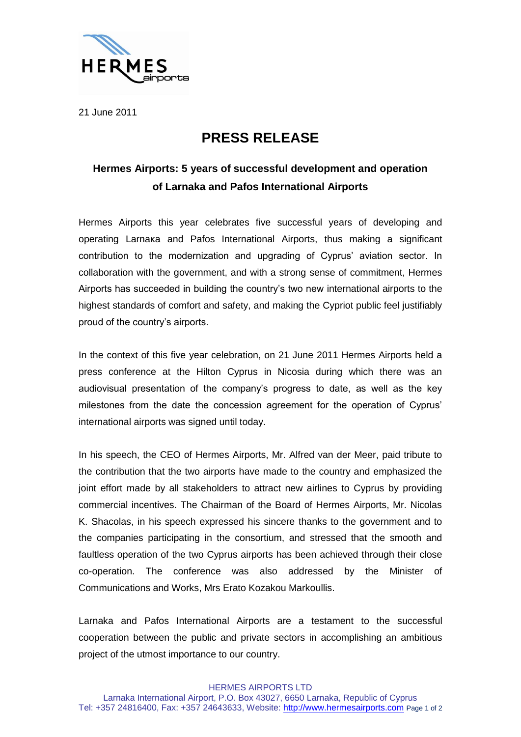

21 June 2011

## **PRESS RELEASE**

## **Hermes Airports: 5 years of successful development and operation of Larnaka and Pafos International Airports**

Hermes Airports this year celebrates five successful years of developing and operating Larnaκa and Pafos International Airports, thus making a significant contribution to the modernization and upgrading of Cyprus' aviation sector. In collaboration with the government, and with a strong sense of commitment, Hermes Airports has succeeded in building the country's two new international airports to the highest standards of comfort and safety, and making the Cypriot public feel justifiably proud of the country's airports.

In the context of this five year celebration, on 21 June 2011 Hermes Airports held a press conference at the Hilton Cyprus in Nicosia during which there was an audiovisual presentation of the company's progress to date, as well as the key milestones from the date the concession agreement for the operation of Cyprus' international airports was signed until today.

In his speech, the CEO of Hermes Airports, Mr. Alfred van der Meer, paid tribute to the contribution that the two airports have made to the country and emphasized the joint effort made by all stakeholders to attract new airlines to Cyprus by providing commercial incentives. The Chairman of the Board of Hermes Airports, Mr. Nicolas K. Shacolas, in his speech expressed his sincere thanks to the government and to the companies participating in the consortium, and stressed that the smooth and faultless operation of the two Cyprus airports has been achieved through their close co-operation. The conference was also addressed by the Minister of Communications and Works, Mrs Erato Kozakou Markoullis.

Larnaka and Pafos International Airports are a testament to the successful cooperation between the public and private sectors in accomplishing an ambitious project of the utmost importance to our country.